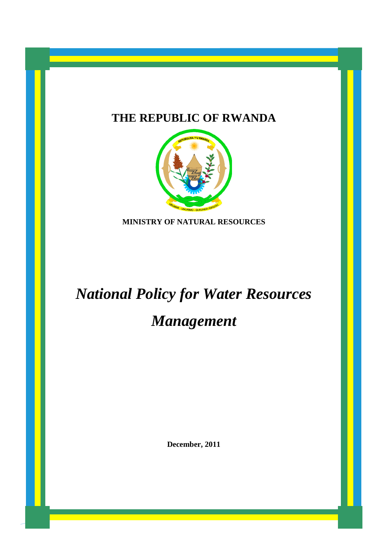# **THE REPUBLIC OF RWANDA**



**MINISTRY OF NATURAL RESOURCES**

# *National Policy for Water Resources Management*

**December, 2011**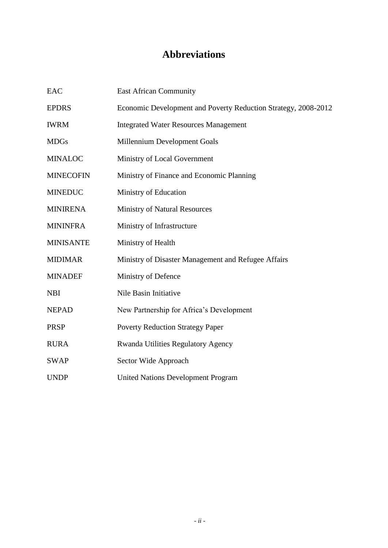# **Abbreviations**

<span id="page-1-0"></span>

| EAC              | <b>East African Community</b>                                  |  |
|------------------|----------------------------------------------------------------|--|
| <b>EPDRS</b>     | Economic Development and Poverty Reduction Strategy, 2008-2012 |  |
| <b>IWRM</b>      | <b>Integrated Water Resources Management</b>                   |  |
| <b>MDGs</b>      | Millennium Development Goals                                   |  |
| <b>MINALOC</b>   | Ministry of Local Government                                   |  |
| <b>MINECOFIN</b> | Ministry of Finance and Economic Planning                      |  |
| <b>MINEDUC</b>   | Ministry of Education                                          |  |
| <b>MINIRENA</b>  | <b>Ministry of Natural Resources</b>                           |  |
| <b>MININFRA</b>  | Ministry of Infrastructure                                     |  |
| <b>MINISANTE</b> | Ministry of Health                                             |  |
| <b>MIDIMAR</b>   | Ministry of Disaster Management and Refugee Affairs            |  |
| <b>MINADEF</b>   | Ministry of Defence                                            |  |
| <b>NBI</b>       | Nile Basin Initiative                                          |  |
| <b>NEPAD</b>     | New Partnership for Africa's Development                       |  |
| <b>PRSP</b>      | <b>Poverty Reduction Strategy Paper</b>                        |  |
| <b>RURA</b>      | <b>Rwanda Utilities Regulatory Agency</b>                      |  |
| <b>SWAP</b>      | Sector Wide Approach                                           |  |
| <b>UNDP</b>      | <b>United Nations Development Program</b>                      |  |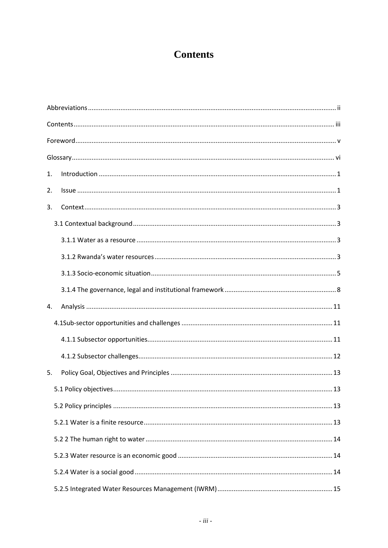# **Contents**

<span id="page-2-0"></span>

| 1. |  |
|----|--|
| 2. |  |
| 3. |  |
|    |  |
|    |  |
|    |  |
|    |  |
|    |  |
| 4. |  |
|    |  |
|    |  |
|    |  |
| 5. |  |
|    |  |
|    |  |
|    |  |
|    |  |
|    |  |
|    |  |
|    |  |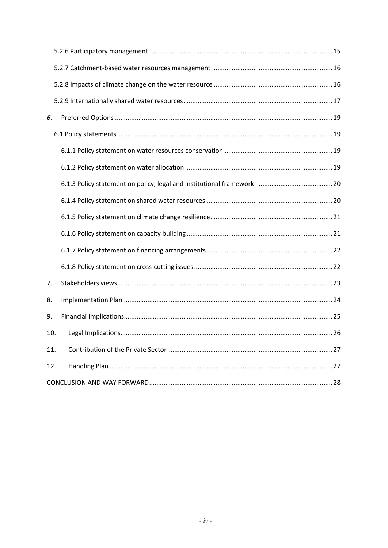| 6.  |  |  |  |
|-----|--|--|--|
|     |  |  |  |
|     |  |  |  |
|     |  |  |  |
|     |  |  |  |
|     |  |  |  |
|     |  |  |  |
|     |  |  |  |
|     |  |  |  |
|     |  |  |  |
| 7.  |  |  |  |
| 8.  |  |  |  |
| 9.  |  |  |  |
| 10. |  |  |  |
| 11. |  |  |  |
| 12. |  |  |  |
|     |  |  |  |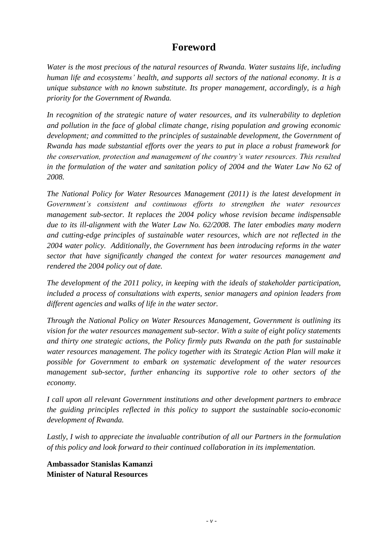# **Foreword**

<span id="page-4-0"></span>*Water is the most precious of the natural resources of Rwanda. Water sustains life, including human life and ecosystems' health, and supports all sectors of the national economy. It is a unique substance with no known substitute. Its proper management, accordingly, is a high priority for the Government of Rwanda.*

*In recognition of the strategic nature of water resources, and its vulnerability to depletion and pollution in the face of global climate change, rising population and growing economic development; and committed to the principles of sustainable development, the Government of Rwanda has made substantial efforts over the years to put in place a robust framework for the conservation, protection and management of the country's water resources. This resulted*  in the formulation of the water and sanitation policy of 2004 and the Water Law No 62 of *2008.*

*The National Policy for Water Resources Management (2011) is the latest development in Government's consistent and continuous efforts to strengthen the water resources management sub-sector. It replaces the 2004 policy whose revision became indispensable due to its ill-alignment with the Water Law No. 62/2008. The later embodies many modern and cutting-edge principles of sustainable water resources, which are not reflected in the 2004 water policy. Additionally, the Government has been introducing reforms in the water sector that have significantly changed the context for water resources management and rendered the 2004 policy out of date.* 

*The development of the 2011 policy, in keeping with the ideals of stakeholder participation, included a process of consultations with experts, senior managers and opinion leaders from different agencies and walks of life in the water sector.*

*Through the National Policy on Water Resources Management, Government is outlining its vision for the water resources management sub-sector. With a suite of eight policy statements and thirty one strategic actions, the Policy firmly puts Rwanda on the path for sustainable water resources management. The policy together with its Strategic Action Plan will make it possible for Government to embark on systematic development of the water resources management sub-sector, further enhancing its supportive role to other sectors of the economy.* 

*I call upon all relevant Government institutions and other development partners to embrace the guiding principles reflected in this policy to support the sustainable socio-economic development of Rwanda.* 

*Lastly, I wish to appreciate the invaluable contribution of all our Partners in the formulation of this policy and look forward to their continued collaboration in its implementation.*

**Ambassador Stanislas Kamanzi Minister of Natural Resources**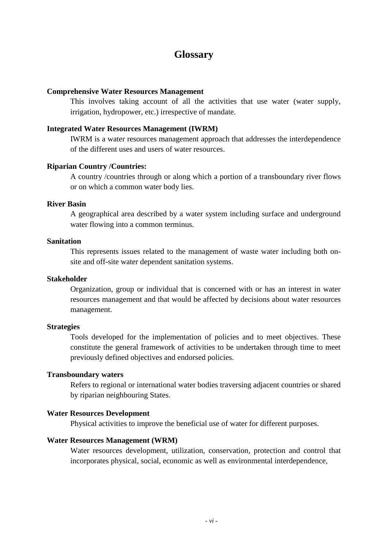### **Glossary**

#### <span id="page-5-0"></span>**Comprehensive Water Resources Management**

This involves taking account of all the activities that use water (water supply, irrigation, hydropower, etc.) irrespective of mandate.

### **Integrated Water Resources Management (IWRM)**

IWRM is a water resources management approach that addresses the interdependence of the different uses and users of water resources.

#### **Riparian Country /Countries:**

A country /countries through or along which a portion of a transboundary river flows or on which a common water body lies.

### **River Basin**

A geographical area described by a water system including surface and underground water flowing into a common terminus.

### **Sanitation**

This represents issues related to the management of waste water including both onsite and off-site water dependent sanitation systems.

#### **Stakeholder**

Organization, group or individual that is concerned with or has an interest in water resources management and that would be affected by decisions about water resources management.

#### **Strategies**

Tools developed for the implementation of policies and to meet objectives. These constitute the general framework of activities to be undertaken through time to meet previously defined objectives and endorsed policies.

### **Transboundary waters**

Refers to regional or international water bodies traversing adjacent countries or shared by riparian neighbouring States.

#### **Water Resources Development**

Physical activities to improve the beneficial use of water for different purposes.

#### **Water Resources Management (WRM)**

Water resources development, utilization, conservation, protection and control that incorporates physical, social, economic as well as environmental interdependence,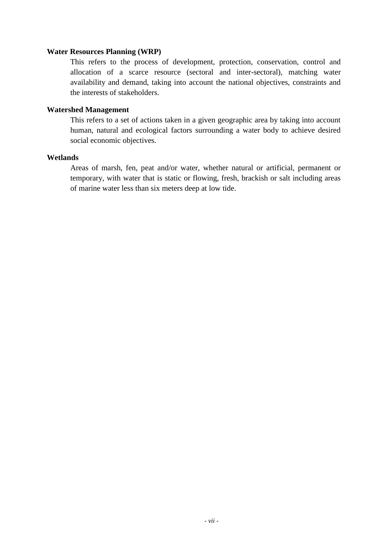### **Water Resources Planning (WRP)**

This refers to the process of development, protection, conservation, control and allocation of a scarce resource (sectoral and inter-sectoral), matching water availability and demand, taking into account the national objectives, constraints and the interests of stakeholders.

### **Watershed Management**

This refers to a set of actions taken in a given geographic area by taking into account human, natural and ecological factors surrounding a water body to achieve desired social economic objectives.

### **Wetlands**

Areas of marsh, fen, peat and/or water, whether natural or artificial, permanent or temporary, with water that is static or flowing, fresh, brackish or salt including areas of marine water less than six meters deep at low tide.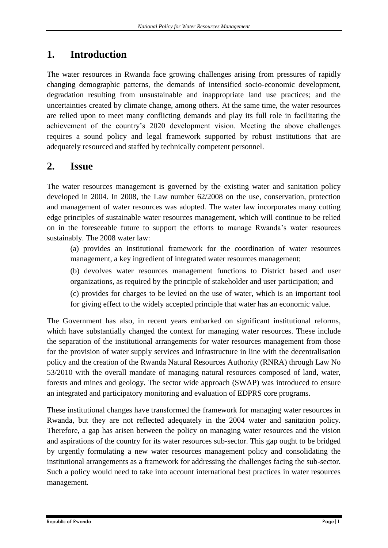# <span id="page-7-0"></span>**1. Introduction**

The water resources in Rwanda face growing challenges arising from pressures of rapidly changing demographic patterns, the demands of intensified socio-economic development, degradation resulting from unsustainable and inappropriate land use practices; and the uncertainties created by climate change, among others. At the same time, the water resources are relied upon to meet many conflicting demands and play its full role in facilitating the achievement of the country's 2020 development vision. Meeting the above challenges requires a sound policy and legal framework supported by robust institutions that are adequately resourced and staffed by technically competent personnel.

# <span id="page-7-1"></span>**2. Issue**

The water resources management is governed by the existing water and sanitation policy developed in 2004. In 2008, the Law number 62/2008 on the use, conservation, protection and management of water resources was adopted. The water law incorporates many cutting edge principles of sustainable water resources management, which will continue to be relied on in the foreseeable future to support the efforts to manage Rwanda's water resources sustainably. The 2008 water law:

(a) provides an institutional framework for the coordination of water resources management, a key ingredient of integrated water resources management;

(b) devolves water resources management functions to District based and user organizations, as required by the principle of stakeholder and user participation; and

(c) provides for charges to be levied on the use of water, which is an important tool for giving effect to the widely accepted principle that water has an economic value.

The Government has also, in recent years embarked on significant institutional reforms, which have substantially changed the context for managing water resources. These include the separation of the institutional arrangements for water resources management from those for the provision of water supply services and infrastructure in line with the decentralisation policy and the creation of the Rwanda Natural Resources Authority (RNRA) through Law No 53/2010 with the overall mandate of managing natural resources composed of land, water, forests and mines and geology. The sector wide approach (SWAP) was introduced to ensure an integrated and participatory monitoring and evaluation of EDPRS core programs.

These institutional changes have transformed the framework for managing water resources in Rwanda, but they are not reflected adequately in the 2004 water and sanitation policy. Therefore, a gap has arisen between the policy on managing water resources and the vision and aspirations of the country for its water resources sub-sector. This gap ought to be bridged by urgently formulating a new water resources management policy and consolidating the institutional arrangements as a framework for addressing the challenges facing the sub-sector. Such a policy would need to take into account international best practices in water resources management.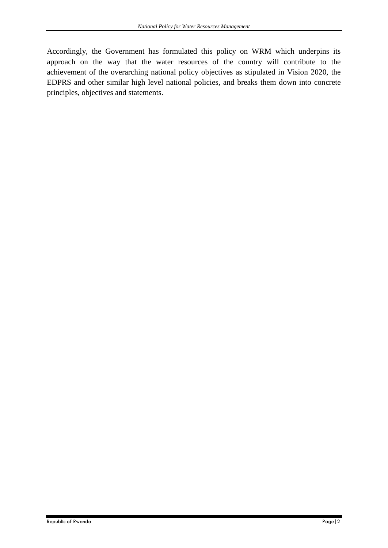Accordingly, the Government has formulated this policy on WRM which underpins its approach on the way that the water resources of the country will contribute to the achievement of the overarching national policy objectives as stipulated in Vision 2020, the EDPRS and other similar high level national policies, and breaks them down into concrete principles, objectives and statements.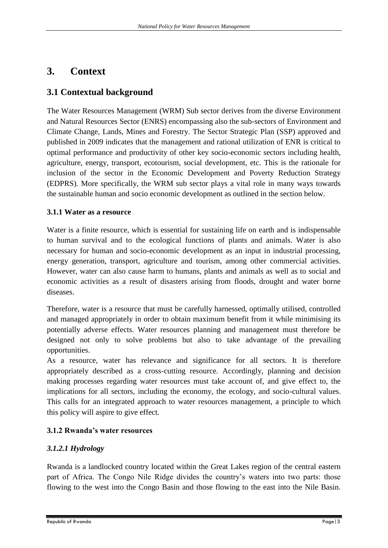# <span id="page-9-0"></span>**3. Context**

# <span id="page-9-1"></span>**3.1 Contextual background**

The Water Resources Management (WRM) Sub sector derives from the diverse Environment and Natural Resources Sector (ENRS) encompassing also the sub-sectors of Environment and Climate Change, Lands, Mines and Forestry. The Sector Strategic Plan (SSP) approved and published in 2009 indicates that the management and rational utilization of ENR is critical to optimal performance and productivity of other key socio-economic sectors including health, agriculture, energy, transport, ecotourism, social development, etc. This is the rationale for inclusion of the sector in the Economic Development and Poverty Reduction Strategy (EDPRS). More specifically, the WRM sub sector plays a vital role in many ways towards the sustainable human and socio economic development as outlined in the section below.

### <span id="page-9-2"></span>**3.1.1 Water as a resource**

Water is a finite resource, which is essential for sustaining life on earth and is indispensable to human survival and to the ecological functions of plants and animals. Water is also necessary for human and socio-economic development as an input in industrial processing, energy generation, transport, agriculture and tourism, among other commercial activities. However, water can also cause harm to humans, plants and animals as well as to social and economic activities as a result of disasters arising from floods, drought and water borne diseases.

Therefore, water is a resource that must be carefully harnessed, optimally utilised, controlled and managed appropriately in order to obtain maximum benefit from it while minimising its potentially adverse effects. Water resources planning and management must therefore be designed not only to solve problems but also to take advantage of the prevailing opportunities.

As a resource, water has relevance and significance for all sectors. It is therefore appropriately described as a cross-cutting resource. Accordingly, planning and decision making processes regarding water resources must take account of, and give effect to, the implications for all sectors, including the economy, the ecology, and socio-cultural values. This calls for an integrated approach to water resources management, a principle to which this policy will aspire to give effect.

### <span id="page-9-3"></span>**3.1.2 Rwanda's water resources**

### *3.1.2.1 Hydrology*

Rwanda is a landlocked country located within the Great Lakes region of the central eastern part of Africa. The Congo Nile Ridge divides the country's waters into two parts: those flowing to the west into the Congo Basin and those flowing to the east into the Nile Basin.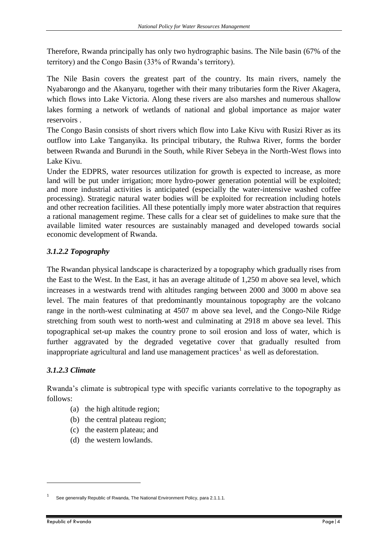Therefore, Rwanda principally has only two hydrographic basins. The Nile basin (67% of the territory) and the Congo Basin (33% of Rwanda's territory).

The Nile Basin covers the greatest part of the country. Its main rivers, namely the Nyabarongo and the Akanyaru, together with their many tributaries form the River Akagera, which flows into Lake Victoria. Along these rivers are also marshes and numerous shallow lakes forming a network of wetlands of national and global importance as major water reservoirs .

The Congo Basin consists of short rivers which flow into Lake Kivu with Rusizi River as its outflow into Lake Tanganyika. Its principal tributary, the Ruhwa River, forms the border between Rwanda and Burundi in the South, while River Sebeya in the North-West flows into Lake Kivu.

Under the EDPRS, water resources utilization for growth is expected to increase, as more land will be put under irrigation; more hydro-power generation potential will be exploited; and more industrial activities is anticipated (especially the water-intensive washed coffee processing). Strategic natural water bodies will be exploited for recreation including hotels and other recreation facilities. All these potentially imply more water abstraction that requires a rational management regime. These calls for a clear set of guidelines to make sure that the available limited water resources are sustainably managed and developed towards social economic development of Rwanda.

### *3.1.2.2 Topography*

The Rwandan physical landscape is characterized by a topography which gradually rises from the East to the West. In the East, it has an average altitude of 1,250 m above sea level, which increases in a westwards trend with altitudes ranging between 2000 and 3000 m above sea level. The main features of that predominantly mountainous topography are the volcano range in the north-west culminating at 4507 m above sea level, and the Congo-Nile Ridge stretching from south west to north-west and culminating at 2918 m above sea level. This topographical set-up makes the country prone to soil erosion and loss of water, which is further aggravated by the degraded vegetative cover that gradually resulted from inappropriate agricultural and land use management practices<sup>1</sup> as well as deforestation.

### *3.1.2.3 Climate*

Rwanda's climate is subtropical type with specific variants correlative to the topography as follows:

- (a) the high altitude region;
- (b) the central plateau region;
- (c) the eastern plateau; and
- (d) the western lowlands.

**.** 

<sup>1</sup> See genenrally Republic of Rwanda, The National Environment Policy, para 2.1.1.1.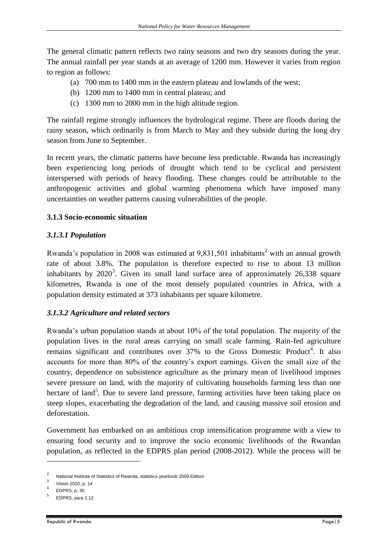The general climatic pattern reflects two rainy seasons and two dry seasons during the year. The annual rainfall per year stands at an average of 1200 mm. However it varies from region to region as follows:

- (a) 700 mm to 1400 mm in the eastern plateau and lowlands of the west;
- (b) 1200 mm to 1400 mm in central plateau; and
- (c) 1300 mm to 2000 mm in the high altitude region.

The rainfall regime strongly influences the hydrological regime. There are floods during the rainy season, which ordinarily is from March to May and they subside during the long dry season from June to September.

In recent years, the climatic patterns have become less predictable. Rwanda has increasingly been experiencing long periods of drought which tend to be cyclical and persistent interspersed with periods of heavy flooding. These changes could be attributable to the anthropogenic activities and global warming phenomena which have imposed many uncertainties on weather patterns causing vulnerabilities of the people.

### <span id="page-11-0"></span>**3.1.3 Socio-economic situation**

### *3.1.3.1 Population*

Rwanda's population in 2008 was estimated at  $9.831,501$  inhabitants<sup>2</sup> with an annual growth rate of about 3.8%. The population is therefore expected to rise to about 13 million inhabitants by  $2020^3$ . Given its small land surface area of approximately  $26,338$  square kilometres, Rwanda is one of the most densely populated countries in Africa, with a population density estimated at 373 inhabitants per square kilometre.

### *3.1.3.2 Agriculture and related sectors*

Rwanda's urban population stands at about 10% of the total population. The majority of the population lives in the rural areas carrying on small scale farming. Rain-fed agriculture remains significant and contributes over 37% to the Gross Domestic Product<sup>4</sup>. It also accounts for more than 80% of the country's export earnings. Given the small size of the country, dependence on subsistence agriculture as the primary mean of livelihood imposes severe pressure on land, with the majority of cultivating households farming less than one hectare of land<sup>5</sup>. Due to severe land pressure, farming activities have been taking place on steep slopes, exacerbating the degradation of the land, and causing massive soil erosion and deforestation.

Government has embarked on an ambitious crop intensification programme with a view to ensuring food security and to improve the socio economic livelihoods of the Rwandan population, as reflected in the EDPRS plan period (2008-2012). While the process will be

**.** 

<sup>2</sup> National Institute of Statistics of Rwanda, statistics yearbook 2009 Edition

<sup>3</sup> Vision 2020, p. 14 4

EDPRS, p. 35.

<sup>5</sup> EDPRS, para 2.12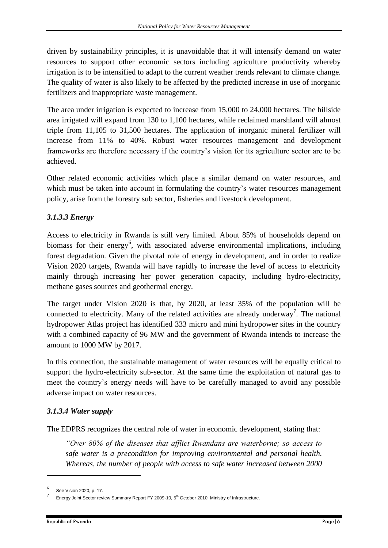driven by sustainability principles, it is unavoidable that it will intensify demand on water resources to support other economic sectors including agriculture productivity whereby irrigation is to be intensified to adapt to the current weather trends relevant to climate change. The quality of water is also likely to be affected by the predicted increase in use of inorganic fertilizers and inappropriate waste management.

The area under irrigation is expected to increase from 15,000 to 24,000 hectares. The hillside area irrigated will expand from 130 to 1,100 hectares, while reclaimed marshland will almost triple from 11,105 to 31,500 hectares. The application of inorganic mineral fertilizer will increase from 11% to 40%. Robust water resources management and development frameworks are therefore necessary if the country's vision for its agriculture sector are to be achieved.

Other related economic activities which place a similar demand on water resources, and which must be taken into account in formulating the country's water resources management policy, arise from the forestry sub sector, fisheries and livestock development.

### *3.1.3.3 Energy*

Access to electricity in Rwanda is still very limited. About 85% of households depend on biomass for their energy<sup>6</sup>, with associated adverse environmental implications, including forest degradation. Given the pivotal role of energy in development, and in order to realize Vision 2020 targets, Rwanda will have rapidly to increase the level of access to electricity mainly through increasing her power generation capacity, including hydro-electricity, methane gases sources and geothermal energy.

The target under Vision 2020 is that, by 2020, at least 35% of the population will be connected to electricity. Many of the related activities are already underway<sup>7</sup>. The national hydropower Atlas project has identified 333 micro and mini hydropower sites in the country with a combined capacity of 96 MW and the government of Rwanda intends to increase the amount to 1000 MW by 2017.

In this connection, the sustainable management of water resources will be equally critical to support the hydro-electricity sub-sector. At the same time the exploitation of natural gas to meet the country's energy needs will have to be carefully managed to avoid any possible adverse impact on water resources.

### *3.1.3.4 Water supply*

The EDPRS recognizes the central role of water in economic development, stating that:

*"Over 80% of the diseases that afflict Rwandans are waterborne; so access to safe water is a precondition for improving environmental and personal health. Whereas, the number of people with access to safe water increased between 2000* 

1

<sup>6</sup> See Vision 2020, p. 17.

<sup>7</sup> Energy Joint Sector review Summary Report FY 2009-10, 5<sup>th</sup> October 2010, Ministry of Infrastructure.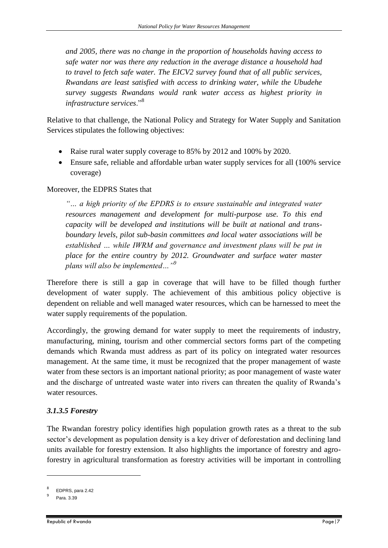*and 2005, there was no change in the proportion of households having access to safe water nor was there any reduction in the average distance a household had to travel to fetch safe water. The EICV2 survey found that of all public services, Rwandans are least satisfied with access to drinking water, while the Ubudehe survey suggests Rwandans would rank water access as highest priority in infrastructure services*."<sup>8</sup>

Relative to that challenge, the National Policy and Strategy for Water Supply and Sanitation Services stipulates the following objectives:

- Raise rural water supply coverage to 85% by 2012 and 100% by 2020.
- Ensure safe, reliable and affordable urban water supply services for all (100% service coverage)

### Moreover, the EDPRS States that

*"… a high priority of the EPDRS is to ensure sustainable and integrated water resources management and development for multi-purpose use. To this end capacity will be developed and institutions will be built at national and transboundary levels, pilot sub-basin committees and local water associations will be established … while IWRM and governance and investment plans will be put in place for the entire country by 2012. Groundwater and surface water master plans will also be implemented…"<sup>9</sup>*

Therefore there is still a gap in coverage that will have to be filled though further development of water supply. The achievement of this ambitious policy objective is dependent on reliable and well managed water resources, which can be harnessed to meet the water supply requirements of the population.

Accordingly, the growing demand for water supply to meet the requirements of industry, manufacturing, mining, tourism and other commercial sectors forms part of the competing demands which Rwanda must address as part of its policy on integrated water resources management. At the same time, it must be recognized that the proper management of waste water from these sectors is an important national priority; as poor management of waste water and the discharge of untreated waste water into rivers can threaten the quality of Rwanda's water resources.

### *3.1.3.5 Forestry*

The Rwandan forestry policy identifies high population growth rates as a threat to the sub sector's development as population density is a key driver of deforestation and declining land units available for forestry extension. It also highlights the importance of forestry and agroforestry in agricultural transformation as forestry activities will be important in controlling

1

<sup>8</sup> EDPRS, para 2.42

<sup>9</sup> Para. 3.39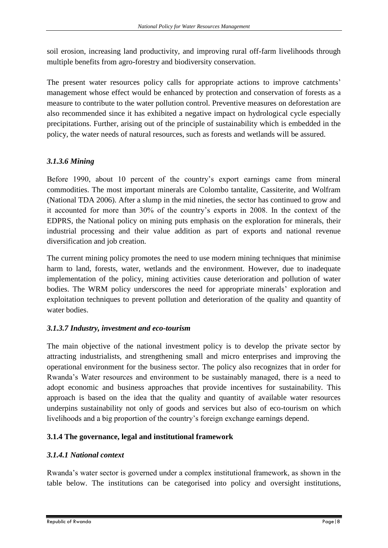soil erosion, increasing land productivity, and improving rural off-farm livelihoods through multiple benefits from agro-forestry and biodiversity conservation.

The present water resources policy calls for appropriate actions to improve catchments' management whose effect would be enhanced by protection and conservation of forests as a measure to contribute to the water pollution control. Preventive measures on deforestation are also recommended since it has exhibited a negative impact on hydrological cycle especially precipitations. Further, arising out of the principle of sustainability which is embedded in the policy, the water needs of natural resources, such as forests and wetlands will be assured.

### *3.1.3.6 Mining*

Before 1990, about 10 percent of the country's export earnings came from mineral commodities. The most important minerals are Colombo tantalite, Cassiterite, and Wolfram (National TDA 2006). After a slump in the mid nineties, the sector has continued to grow and it accounted for more than 30% of the country's exports in 2008. In the context of the EDPRS, the National policy on mining puts emphasis on the exploration for minerals, their industrial processing and their value addition as part of exports and national revenue diversification and job creation.

The current mining policy promotes the need to use modern mining techniques that minimise harm to land, forests, water, wetlands and the environment. However, due to inadequate implementation of the policy, mining activities cause deterioration and pollution of water bodies. The WRM policy underscores the need for appropriate minerals' exploration and exploitation techniques to prevent pollution and deterioration of the quality and quantity of water bodies.

### *3.1.3.7 Industry, investment and eco-tourism*

The main objective of the national investment policy is to develop the private sector by attracting industrialists, and strengthening small and micro enterprises and improving the operational environment for the business sector. The policy also recognizes that in order for Rwanda's Water resources and environment to be sustainably managed, there is a need to adopt economic and business approaches that provide incentives for sustainability. This approach is based on the idea that the quality and quantity of available water resources underpins sustainability not only of goods and services but also of eco-tourism on which livelihoods and a big proportion of the country's foreign exchange earnings depend.

### <span id="page-14-0"></span>**3.1.4 The governance, legal and institutional framework**

### *3.1.4.1 National context*

Rwanda's water sector is governed under a complex institutional framework, as shown in the table below. The institutions can be categorised into policy and oversight institutions,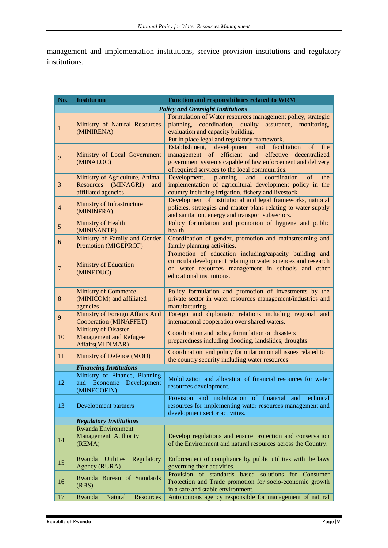management and implementation institutions, service provision institutions and regulatory institutions.

| No.            | <b>Institution</b>                                                                      | <b>Function and responsibilities related to WRM</b>                                                                                                                                                                                              |
|----------------|-----------------------------------------------------------------------------------------|--------------------------------------------------------------------------------------------------------------------------------------------------------------------------------------------------------------------------------------------------|
|                |                                                                                         | <b>Policy and Oversight Institutions</b>                                                                                                                                                                                                         |
| 1              | Ministry of Natural Resources<br>(MINIRENA)                                             | Formulation of Water resources management policy, strategic<br>planning, coordination, quality assurance, monitoring,<br>evaluation and capacity building.<br>Put in place legal and regulatory framework.                                       |
| $\overline{2}$ | Ministry of Local Government<br>(MINALOC)                                               | facilitation<br>Establishment, development<br>and<br><sub>of</sub><br>the<br>management of efficient and effective decentralized<br>government systems capable of law enforcement and delivery<br>of required services to the local communities. |
| $\mathfrak{Z}$ | Ministry of Agriculture, Animal<br>Resources<br>(MINAGRI)<br>and<br>affiliated agencies | planning<br>coordination<br>Development,<br>and<br>of<br>the<br>implementation of agricultural development policy in the<br>country including irrigation, fishery and livestock.                                                                 |
| $\overline{4}$ | Ministry of Infrastructure<br>(MININFRA)                                                | Development of institutional and legal frameworks, national<br>policies, strategies and master plans relating to water supply<br>and sanitation, energy and transport subsectors.                                                                |
| $\sqrt{5}$     | Ministry of Health<br>(MINISANTE)                                                       | Policy formulation and promotion of hygiene and public<br>health.                                                                                                                                                                                |
| 6              | Ministry of Family and Gender<br>Promotion (MIGEPROF)                                   | Coordination of gender, promotion and mainstreaming and<br>family planning activities.                                                                                                                                                           |
| $\overline{7}$ | <b>Ministry of Education</b><br>(MINEDUC)                                               | Promotion of education including/capacity building and<br>curricula development relating to water sciences and research<br>on water resources management in schools and other<br>educational institutions.                                       |
| $\bf 8$        | <b>Ministry of Commerce</b><br>(MINICOM) and affiliated<br>agencies                     | Policy formulation and promotion of investments by the<br>private sector in water resources management/industries and<br>manufacturing.                                                                                                          |
| 9              | <b>Ministry of Foreign Affairs And</b><br>Cooperation (MINAFFET)                        | Foreign and diplomatic relations including regional and<br>international cooperation over shared waters.                                                                                                                                         |
| 10             | <b>Ministry of Disaster</b><br><b>Management and Refugee</b><br>Affairs(MIDIMAR)        | Coordination and policy formulation on disasters<br>preparedness including flooding, landslides, droughts.                                                                                                                                       |
| 11             | Ministry of Defence (MOD)                                                               | Coordination and policy formulation on all issues related to<br>the country security including water resources                                                                                                                                   |
|                | <b>Financing Institutions</b>                                                           |                                                                                                                                                                                                                                                  |
| 12             | Ministry of Finance, Planning<br>and Economic Development<br>(MINECOFIN)                | Mobilization and allocation of financial resources for water<br>resources development.                                                                                                                                                           |
| 13             | Development partners                                                                    | Provision and mobilization of financial and technical<br>resources for implementing water resources management and<br>development sector activities.                                                                                             |
|                | <b>Regulatory Institutions</b>                                                          |                                                                                                                                                                                                                                                  |
| 14             | <b>Rwanda Environment</b><br>Management Authority<br>(REMA)                             | Develop regulations and ensure protection and conservation<br>of the Environment and natural resources across the Country.                                                                                                                       |
| 15             | <b>Utilities</b><br>Rwanda<br>Regulatory<br>Agency (RURA)                               | Enforcement of compliance by public utilities with the laws<br>governing their activities.                                                                                                                                                       |
| 16             | Rwanda Bureau of Standards<br>(RBS)                                                     | solutions for Consumer<br>Provision of standards based<br>Protection and Trade promotion for socio-economic growth<br>in a safe and stable environment.                                                                                          |
| 17             | Natural<br>Rwanda<br>Resources                                                          | Autonomous agency responsible for management of natural                                                                                                                                                                                          |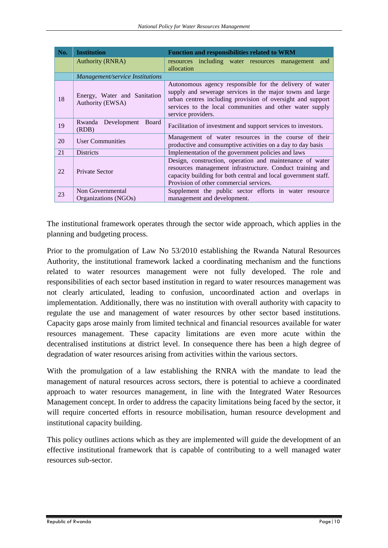| No. | <b>Institution</b>                               | <b>Function and responsibilities related to WRM</b>                                                                                                                                                                                                                  |
|-----|--------------------------------------------------|----------------------------------------------------------------------------------------------------------------------------------------------------------------------------------------------------------------------------------------------------------------------|
|     | <b>Authority (RNRA)</b>                          | resources including water resources management<br>and<br>allocation                                                                                                                                                                                                  |
|     | Management/service Institutions                  |                                                                                                                                                                                                                                                                      |
| 18  | Energy, Water and Sanitation<br>Authority (EWSA) | Autonomous agency responsible for the delivery of water<br>supply and sewerage services in the major towns and large<br>urban centres including provision of oversight and support<br>services to the local communities and other water supply<br>service providers. |
| 19  | Rwanda Development<br>Board<br>(RDB)             | Facilitation of investment and support services to investors.                                                                                                                                                                                                        |
| 20  | <b>User Communities</b>                          | Management of water resources in the course of their<br>productive and consumptive activities on a day to day basis                                                                                                                                                  |
| 21  | <b>Districts</b>                                 | Implementation of the government policies and laws                                                                                                                                                                                                                   |
| 22  | Private Sector                                   | Design, construction, operation and maintenance of water<br>resources management infrastructure. Conduct training and<br>capacity building for both central and local government staff.<br>Provision of other commercial services.                                   |
| 23  | Non Governmental                                 | Supplement the public sector efforts in water resource                                                                                                                                                                                                               |
|     | Organizations (NGOs)                             | management and development.                                                                                                                                                                                                                                          |

The institutional framework operates through the sector wide approach, which applies in the planning and budgeting process.

Prior to the promulgation of Law No 53/2010 establishing the Rwanda Natural Resources Authority, the institutional framework lacked a coordinating mechanism and the functions related to water resources management were not fully developed. The role and responsibilities of each sector based institution in regard to water resources management was not clearly articulated, leading to confusion, uncoordinated action and overlaps in implementation. Additionally, there was no institution with overall authority with capacity to regulate the use and management of water resources by other sector based institutions. Capacity gaps arose mainly from limited technical and financial resources available for water resources management. These capacity limitations are even more acute within the decentralised institutions at district level. In consequence there has been a high degree of degradation of water resources arising from activities within the various sectors.

With the promulgation of a law establishing the RNRA with the mandate to lead the management of natural resources across sectors, there is potential to achieve a coordinated approach to water resources management, in line with the Integrated Water Resources Management concept. In order to address the capacity limitations being faced by the sector, it will require concerted efforts in resource mobilisation, human resource development and institutional capacity building.

This policy outlines actions which as they are implemented will guide the development of an effective institutional framework that is capable of contributing to a well managed water resources sub-sector.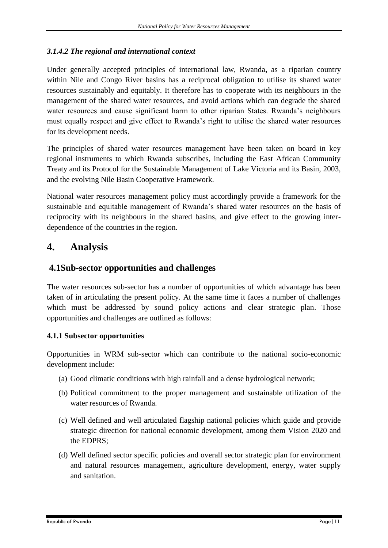### *3.1.4.2 The regional and international context*

Under generally accepted principles of international law, Rwanda**,** as a riparian country within Nile and Congo River basins has a reciprocal obligation to utilise its shared water resources sustainably and equitably. It therefore has to cooperate with its neighbours in the management of the shared water resources, and avoid actions which can degrade the shared water resources and cause significant harm to other riparian States. Rwanda's neighbours must equally respect and give effect to Rwanda's right to utilise the shared water resources for its development needs.

The principles of shared water resources management have been taken on board in key regional instruments to which Rwanda subscribes, including the East African Community Treaty and its Protocol for the Sustainable Management of Lake Victoria and its Basin, 2003, and the evolving Nile Basin Cooperative Framework.

National water resources management policy must accordingly provide a framework for the sustainable and equitable management of Rwanda's shared water resources on the basis of reciprocity with its neighbours in the shared basins, and give effect to the growing interdependence of the countries in the region.

# <span id="page-17-0"></span>**4. Analysis**

### <span id="page-17-1"></span>**4.1Sub-sector opportunities and challenges**

The water resources sub-sector has a number of opportunities of which advantage has been taken of in articulating the present policy. At the same time it faces a number of challenges which must be addressed by sound policy actions and clear strategic plan. Those opportunities and challenges are outlined as follows:

### <span id="page-17-2"></span>**4.1.1 Subsector opportunities**

Opportunities in WRM sub-sector which can contribute to the national socio-economic development include:

- (a) Good climatic conditions with high rainfall and a dense hydrological network;
- (b) Political commitment to the proper management and sustainable utilization of the water resources of Rwanda.
- (c) Well defined and well articulated flagship national policies which guide and provide strategic direction for national economic development, among them Vision 2020 and the EDPRS;
- (d) Well defined sector specific policies and overall sector strategic plan for environment and natural resources management, agriculture development, energy, water supply and sanitation.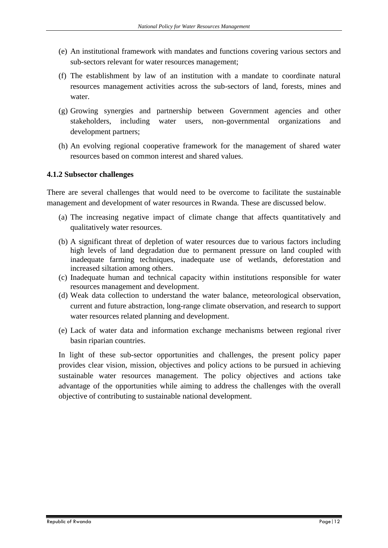- (e) An institutional framework with mandates and functions covering various sectors and sub-sectors relevant for water resources management;
- (f) The establishment by law of an institution with a mandate to coordinate natural resources management activities across the sub-sectors of land, forests, mines and water.
- (g) Growing synergies and partnership between Government agencies and other stakeholders, including water users, non-governmental organizations and development partners;
- (h) An evolving regional cooperative framework for the management of shared water resources based on common interest and shared values.

### <span id="page-18-0"></span>**4.1.2 Subsector challenges**

There are several challenges that would need to be overcome to facilitate the sustainable management and development of water resources in Rwanda. These are discussed below.

- (a) The increasing negative impact of climate change that affects quantitatively and qualitatively water resources.
- (b) A significant threat of depletion of water resources due to various factors including high levels of land degradation due to permanent pressure on land coupled with inadequate farming techniques, inadequate use of wetlands, deforestation and increased siltation among others.
- (c) Inadequate human and technical capacity within institutions responsible for water resources management and development.
- (d) Weak data collection to understand the water balance, meteorological observation, current and future abstraction, long-range climate observation, and research to support water resources related planning and development.
- (e) Lack of water data and information exchange mechanisms between regional river basin riparian countries.

In light of these sub-sector opportunities and challenges, the present policy paper provides clear vision, mission, objectives and policy actions to be pursued in achieving sustainable water resources management. The policy objectives and actions take advantage of the opportunities while aiming to address the challenges with the overall objective of contributing to sustainable national development.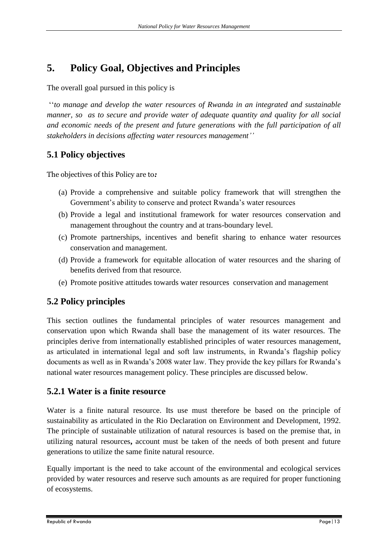# <span id="page-19-0"></span>**5. Policy Goal, Objectives and Principles**

The overall goal pursued in this policy is

''*to manage and develop the water resources of Rwanda in an integrated and sustainable manner, so as to secure and provide water of adequate quantity and quality for all social and economic needs of the present and future generations with the full participation of all stakeholders in decisions affecting water resources management''*

# <span id="page-19-1"></span>**5.1 Policy objectives**

The objectives of this Policy are to*:*

- (a) Provide a comprehensive and suitable policy framework that will strengthen the Government's ability to conserve and protect Rwanda's water resources
- (b) Provide a legal and institutional framework for water resources conservation and management throughout the country and at trans-boundary level.
- (c) Promote partnerships, incentives and benefit sharing to enhance water resources conservation and management.
- (d) Provide a framework for equitable allocation of water resources and the sharing of benefits derived from that resource.
- (e) Promote positive attitudes towards water resources conservation and management

# <span id="page-19-2"></span>**5.2 Policy principles**

This section outlines the fundamental principles of water resources management and conservation upon which Rwanda shall base the management of its water resources. The principles derive from internationally established principles of water resources management, as articulated in international legal and soft law instruments, in Rwanda's flagship policy documents as well as in Rwanda's 2008 water law. They provide the key pillars for Rwanda's national water resources management policy. These principles are discussed below.

# <span id="page-19-3"></span>**5.2.1 Water is a finite resource**

Water is a finite natural resource. Its use must therefore be based on the principle of sustainability as articulated in the Rio Declaration on Environment and Development, 1992. The principle of sustainable utilization of natural resources is based on the premise that, in utilizing natural resources**,** account must be taken of the needs of both present and future generations to utilize the same finite natural resource.

Equally important is the need to take account of the environmental and ecological services provided by water resources and reserve such amounts as are required for proper functioning of ecosystems.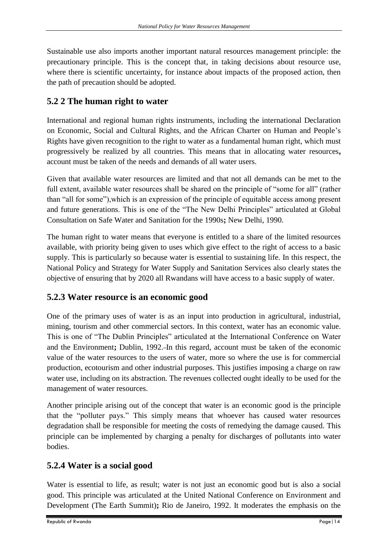Sustainable use also imports another important natural resources management principle: the precautionary principle. This is the concept that, in taking decisions about resource use, where there is scientific uncertainty, for instance about impacts of the proposed action, then the path of precaution should be adopted.

### <span id="page-20-0"></span>**5.2 2 The human right to water**

International and regional human rights instruments, including the international Declaration on Economic, Social and Cultural Rights, and the African Charter on Human and People's Rights have given recognition to the right to water as a fundamental human right, which must progressively be realized by all countries. This means that in allocating water resources**,** account must be taken of the needs and demands of all water users.

Given that available water resources are limited and that not all demands can be met to the full extent, available water resources shall be shared on the principle of "some for all" (rather than "all for some"),which is an expression of the principle of equitable access among present and future generations. This is one of the "The New Delhi Principles" articulated at Global Consultation on Safe Water and Sanitation for the 1990s**;** New Delhi, 1990.

The human right to water means that everyone is entitled to a share of the limited resources available, with priority being given to uses which give effect to the right of access to a basic supply. This is particularly so because water is essential to sustaining life. In this respect, the National Policy and Strategy for Water Supply and Sanitation Services also clearly states the objective of ensuring that by 2020 all Rwandans will have access to a basic supply of water.

### <span id="page-20-1"></span>**5.2.3 Water resource is an economic good**

One of the primary uses of water is as an input into production in agricultural, industrial, mining, tourism and other commercial sectors. In this context, water has an economic value. This is one of "The Dublin Principles" articulated at the International Conference on Water and the Environment**;** Dublin, 1992. In this regard, account must be taken of the economic value of the water resources to the users of water, more so where the use is for commercial production, ecotourism and other industrial purposes. This justifies imposing a charge on raw water use, including on its abstraction. The revenues collected ought ideally to be used for the management of water resources.

Another principle arising out of the concept that water is an economic good is the principle that the "polluter pays." This simply means that whoever has caused water resources degradation shall be responsible for meeting the costs of remedying the damage caused. This principle can be implemented by charging a penalty for discharges of pollutants into water bodies.

# <span id="page-20-2"></span>**5.2.4 Water is a social good**

Water is essential to life, as result; water is not just an economic good but is also a social good. This principle was articulated at the United National Conference on Environment and Development (The Earth Summit)**;** Rio de Janeiro, 1992. It moderates the emphasis on the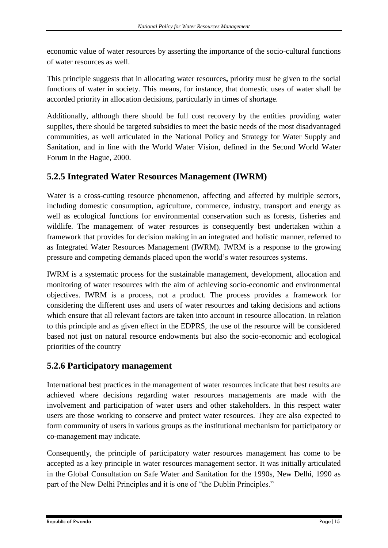economic value of water resources by asserting the importance of the socio-cultural functions of water resources as well.

This principle suggests that in allocating water resources**,** priority must be given to the social functions of water in society. This means, for instance, that domestic uses of water shall be accorded priority in allocation decisions, particularly in times of shortage.

Additionally, although there should be full cost recovery by the entities providing water supplies**,** there should be targeted subsidies to meet the basic needs of the most disadvantaged communities, as well articulated in the National Policy and Strategy for Water Supply and Sanitation, and in line with the World Water Vision, defined in the Second World Water Forum in the Hague, 2000.

### <span id="page-21-0"></span>**5.2.5 Integrated Water Resources Management (IWRM)**

Water is a cross-cutting resource phenomenon, affecting and affected by multiple sectors, including domestic consumption, agriculture, commerce, industry, transport and energy as well as ecological functions for environmental conservation such as forests, fisheries and wildlife. The management of water resources is consequently best undertaken within a framework that provides for decision making in an integrated and holistic manner, referred to as Integrated Water Resources Management (IWRM). IWRM is a response to the growing pressure and competing demands placed upon the world's water resources systems.

IWRM is a systematic process for the sustainable management, development, allocation and monitoring of water resources with the aim of achieving socio-economic and environmental objectives. IWRM is a process, not a product. The process provides a framework for considering the different uses and users of water resources and taking decisions and actions which ensure that all relevant factors are taken into account in resource allocation. In relation to this principle and as given effect in the EDPRS, the use of the resource will be considered based not just on natural resource endowments but also the socio-economic and ecological priorities of the country

### <span id="page-21-1"></span>**5.2.6 Participatory management**

International best practices in the management of water resources indicate that best results are achieved where decisions regarding water resources managements are made with the involvement and participation of water users and other stakeholders. In this respect water users are those working to conserve and protect water resources. They are also expected to form community of users in various groups as the institutional mechanism for participatory or co-management may indicate.

Consequently, the principle of participatory water resources management has come to be accepted as a key principle in water resources management sector. It was initially articulated in the Global Consultation on Safe Water and Sanitation for the 1990s, New Delhi, 1990 as part of the New Delhi Principles and it is one of "the Dublin Principles."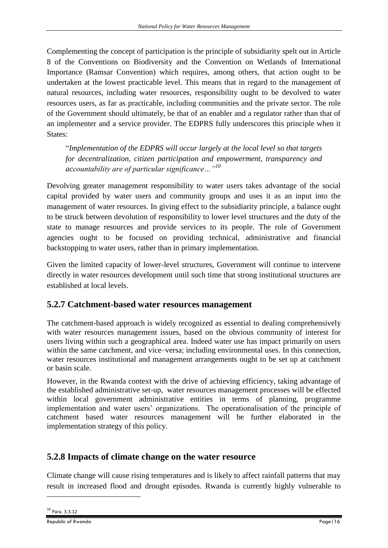Complementing the concept of participation is the principle of subsidiarity spelt out in Article 8 of the Conventions on Biodiversity and the Convention on Wetlands of International Importance (Ramsar Convention) which requires, among others, that action ought to be undertaken at the lowest practicable level. This means that in regard to the management of natural resources, including water resources, responsibility ought to be devolved to water resources users, as far as practicable, including communities and the private sector. The role of the Government should ultimately, be that of an enabler and a regulator rather than that of an implementer and a service provider. The EDPRS fully underscores this principle when it States:

"*Implementation of the EDPRS will occur largely at the local level so that targets for decentralization, citizen participation and empowerment, transparency and accountability are of particular significance…"<sup>10</sup>*

Devolving greater management responsibility to water users takes advantage of the social capital provided by water users and community groups and uses it as an input into the management of water resources. In giving effect to the subsidiarity principle, a balance ought to be struck between devolution of responsibility to lower level structures and the duty of the state to manage resources and provide services to its people. The role of Government agencies ought to be focused on providing technical, administrative and financial backstopping to water users, rather than in primary implementation.

Given the limited capacity of lower-level structures, Government will continue to intervene directly in water resources development until such time that strong institutional structures are established at local levels.

### <span id="page-22-0"></span>**5.2.7 Catchment-based water resources management**

The catchment-based approach is widely recognized as essential to dealing comprehensively with water resources management issues, based on the obvious community of interest for users living within such a geographical area. Indeed water use has impact primarily on users within the same catchment, and vice–versa; including environmental uses. In this connection, water resources institutional and management arrangements ought to be set up at catchment or basin scale.

However, in the Rwanda context with the drive of achieving efficiency, taking advantage of the established administrative set-up, water resources management processes will be effected within local government administrative entities in terms of planning, programme implementation and water users' organizations. The operationalisation of the principle of catchment based water resources management will be further elaborated in the implementation strategy of this policy.

# <span id="page-22-1"></span>**5.2.8 Impacts of climate change on the water resource**

Climate change will cause rising temperatures and is likely to affect rainfall patterns that may result in increased flood and drought episodes. Rwanda is currently highly vulnerable to

1

<sup>10</sup> Para. 3.3.12

Republic of Rwanda Page|16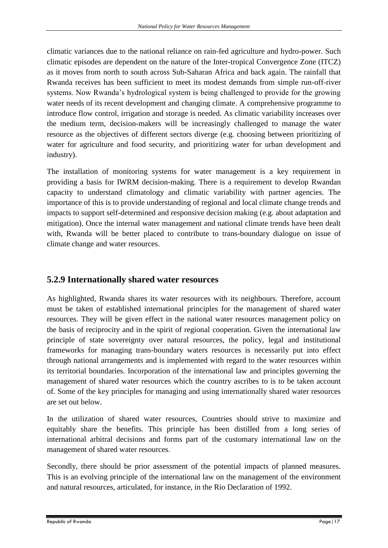climatic variances due to the national reliance on rain-fed agriculture and hydro-power. Such climatic episodes are dependent on the nature of the Inter-tropical Convergence Zone (ITCZ) as it moves from north to south across Sub-Saharan Africa and back again. The rainfall that Rwanda receives has been sufficient to meet its modest demands from simple run-off-river systems. Now Rwanda's hydrological system is being challenged to provide for the growing water needs of its recent development and changing climate. A comprehensive programme to introduce flow control, irrigation and storage is needed. As climatic variability increases over the medium term, decision-makers will be increasingly challenged to manage the water resource as the objectives of different sectors diverge (e.g. choosing between prioritizing of water for agriculture and food security, and prioritizing water for urban development and industry).

The installation of monitoring systems for water management is a key requirement in providing a basis for IWRM decision-making. There is a requirement to develop Rwandan capacity to understand climatology and climatic variability with partner agencies. The importance of this is to provide understanding of regional and local climate change trends and impacts to support self-determined and responsive decision making (e.g. about adaptation and mitigation). Once the internal water management and national climate trends have been dealt with, Rwanda will be better placed to contribute to trans-boundary dialogue on issue of climate change and water resources.

### <span id="page-23-0"></span>**5.2.9 Internationally shared water resources**

As highlighted, Rwanda shares its water resources with its neighbours. Therefore, account must be taken of established international principles for the management of shared water resources. They will be given effect in the national water resources management policy on the basis of reciprocity and in the spirit of regional cooperation. Given the international law principle of state sovereignty over natural resources, the policy, legal and institutional frameworks for managing trans-boundary waters resources is necessarily put into effect through national arrangements and is implemented with regard to the water resources within its territorial boundaries. Incorporation of the international law and principles governing the management of shared water resources which the country ascribes to is to be taken account of. Some of the key principles for managing and using internationally shared water resources are set out below.

In the utilization of shared water resources, Countries should strive to maximize and equitably share the benefits. This principle has been distilled from a long series of international arbitral decisions and forms part of the customary international law on the management of shared water resources.

Secondly, there should be prior assessment of the potential impacts of planned measures. This is an evolving principle of the international law on the management of the environment and natural resources, articulated, for instance, in the Rio Declaration of 1992.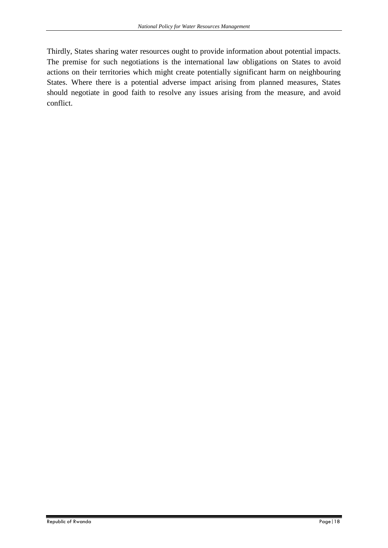Thirdly, States sharing water resources ought to provide information about potential impacts. The premise for such negotiations is the international law obligations on States to avoid actions on their territories which might create potentially significant harm on neighbouring States. Where there is a potential adverse impact arising from planned measures, States should negotiate in good faith to resolve any issues arising from the measure, and avoid conflict.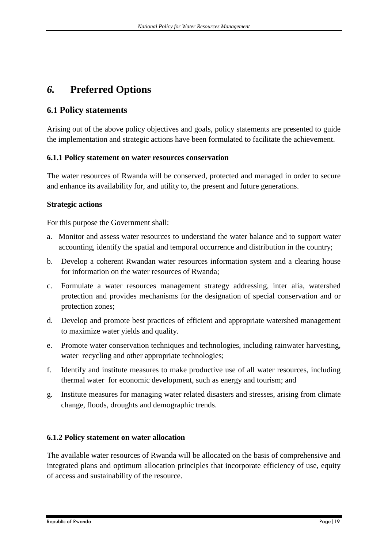# <span id="page-25-0"></span>*6.* **Preferred Options**

### <span id="page-25-1"></span>**6.1 Policy statements**

Arising out of the above policy objectives and goals, policy statements are presented to guide the implementation and strategic actions have been formulated to facilitate the achievement.

### <span id="page-25-2"></span>**6.1.1 Policy statement on water resources conservation**

The water resources of Rwanda will be conserved, protected and managed in order to secure and enhance its availability for, and utility to, the present and future generations.

### **Strategic actions**

For this purpose the Government shall:

- a. Monitor and assess water resources to understand the water balance and to support water accounting, identify the spatial and temporal occurrence and distribution in the country;
- b. Develop a coherent Rwandan water resources information system and a clearing house for information on the water resources of Rwanda;
- c. Formulate a water resources management strategy addressing, inter alia, watershed protection and provides mechanisms for the designation of special conservation and or protection zones;
- d. Develop and promote best practices of efficient and appropriate watershed management to maximize water yields and quality.
- e. Promote water conservation techniques and technologies, including rainwater harvesting, water recycling and other appropriate technologies;
- f. Identify and institute measures to make productive use of all water resources, including thermal water for economic development, such as energy and tourism; and
- g. Institute measures for managing water related disasters and stresses, arising from climate change, floods, droughts and demographic trends.

### <span id="page-25-3"></span>**6.1.2 Policy statement on water allocation**

The available water resources of Rwanda will be allocated on the basis of comprehensive and integrated plans and optimum allocation principles that incorporate efficiency of use, equity of access and sustainability of the resource.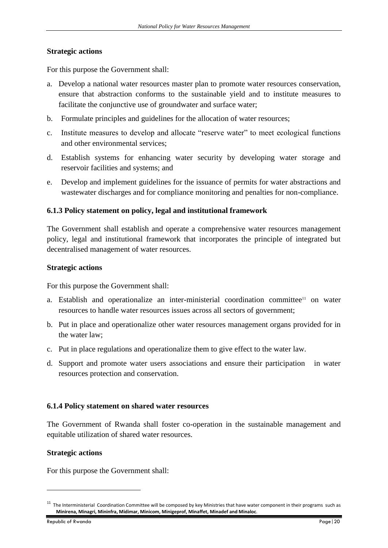### **Strategic actions**

For this purpose the Government shall:

- a. Develop a national water resources master plan to promote water resources conservation, ensure that abstraction conforms to the sustainable yield and to institute measures to facilitate the conjunctive use of groundwater and surface water;
- b. Formulate principles and guidelines for the allocation of water resources;
- c. Institute measures to develop and allocate "reserve water" to meet ecological functions and other environmental services;
- d. Establish systems for enhancing water security by developing water storage and reservoir facilities and systems; and
- e. Develop and implement guidelines for the issuance of permits for water abstractions and wastewater discharges and for compliance monitoring and penalties for non-compliance.

### <span id="page-26-0"></span>**6.1.3 Policy statement on policy, legal and institutional framework**

The Government shall establish and operate a comprehensive water resources management policy, legal and institutional framework that incorporates the principle of integrated but decentralised management of water resources.

### **Strategic actions**

For this purpose the Government shall:

- a. Establish and operationalize an inter-ministerial coordination committee<sup>11</sup> on water resources to handle water resources issues across all sectors of government;
- b. Put in place and operationalize other water resources management organs provided for in the water law;
- c. Put in place regulations and operationalize them to give effect to the water law.
- d. Support and promote water users associations and ensure their participation in water resources protection and conservation.

### <span id="page-26-1"></span>**6.1.4 Policy statement on shared water resources**

The Government of Rwanda shall foster co-operation in the sustainable management and equitable utilization of shared water resources.

### **Strategic actions**

For this purpose the Government shall:

**.** 

 $11$  The Interministerial Coordination Committee will be composed by key Ministries that have water component in their programs such as **Minirena, Minagri, Mininfra, Midimar, Minicom, Minigeprof, Minaffet, Minadef and Minaloc**.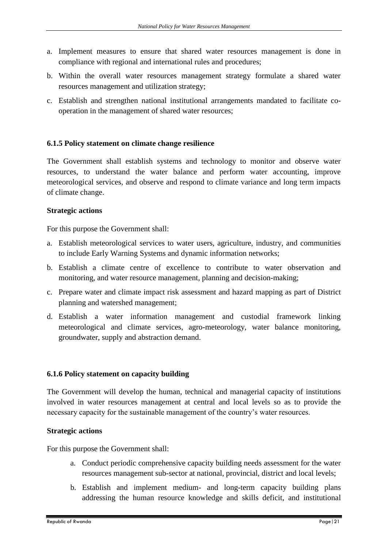- a. Implement measures to ensure that shared water resources management is done in compliance with regional and international rules and procedures;
- b. Within the overall water resources management strategy formulate a shared water resources management and utilization strategy;
- c. Establish and strengthen national institutional arrangements mandated to facilitate cooperation in the management of shared water resources;

### <span id="page-27-0"></span>**6.1.5 Policy statement on climate change resilience**

The Government shall establish systems and technology to monitor and observe water resources, to understand the water balance and perform water accounting, improve meteorological services, and observe and respond to climate variance and long term impacts of climate change.

### **Strategic actions**

For this purpose the Government shall:

- a. Establish meteorological services to water users, agriculture, industry, and communities to include Early Warning Systems and dynamic information networks;
- b. Establish a climate centre of excellence to contribute to water observation and monitoring, and water resource management, planning and decision-making;
- c. Prepare water and climate impact risk assessment and hazard mapping as part of District planning and watershed management;
- d. Establish a water information management and custodial framework linking meteorological and climate services, agro-meteorology, water balance monitoring, groundwater, supply and abstraction demand.

#### <span id="page-27-1"></span>**6.1.6 Policy statement on capacity building**

The Government will develop the human, technical and managerial capacity of institutions involved in water resources management at central and local levels so as to provide the necessary capacity for the sustainable management of the country's water resources.

### **Strategic actions**

For this purpose the Government shall:

- a. Conduct periodic comprehensive capacity building needs assessment for the water resources management sub-sector at national, provincial, district and local levels;
- b. Establish and implement medium- and long-term capacity building plans addressing the human resource knowledge and skills deficit, and institutional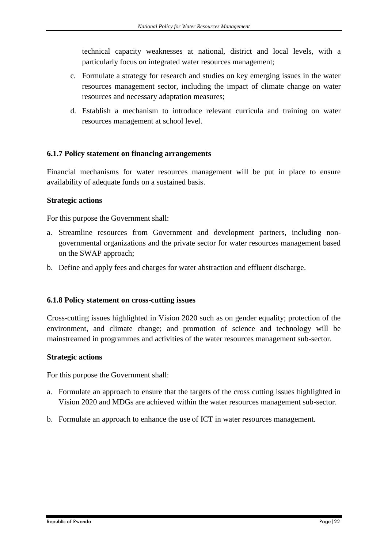technical capacity weaknesses at national, district and local levels, with a particularly focus on integrated water resources management;

- c. Formulate a strategy for research and studies on key emerging issues in the water resources management sector, including the impact of climate change on water resources and necessary adaptation measures;
- d. Establish a mechanism to introduce relevant curricula and training on water resources management at school level.

### <span id="page-28-0"></span>**6.1.7 Policy statement on financing arrangements**

Financial mechanisms for water resources management will be put in place to ensure availability of adequate funds on a sustained basis.

### **Strategic actions**

For this purpose the Government shall:

- a. Streamline resources from Government and development partners, including nongovernmental organizations and the private sector for water resources management based on the SWAP approach;
- b. Define and apply fees and charges for water abstraction and effluent discharge.

#### <span id="page-28-1"></span>**6.1.8 Policy statement on cross-cutting issues**

Cross-cutting issues highlighted in Vision 2020 such as on gender equality; protection of the environment, and climate change; and promotion of science and technology will be mainstreamed in programmes and activities of the water resources management sub-sector.

#### **Strategic actions**

For this purpose the Government shall:

- a. Formulate an approach to ensure that the targets of the cross cutting issues highlighted in Vision 2020 and MDGs are achieved within the water resources management sub-sector.
- b. Formulate an approach to enhance the use of ICT in water resources management.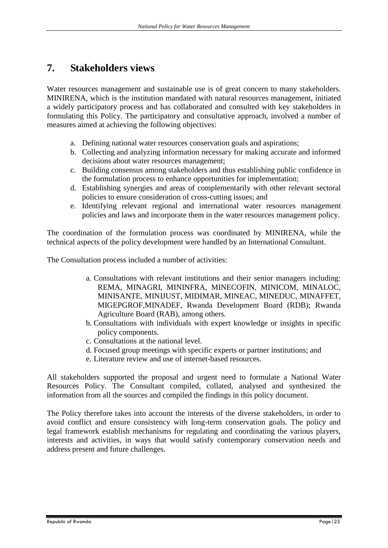# <span id="page-29-0"></span>**7. Stakeholders views**

Water resources management and sustainable use is of great concern to many stakeholders. MINIRENA, which is the institution mandated with natural resources management, initiated a widely participatory process and has collaborated and consulted with key stakeholders in formulating this Policy. The participatory and consultative approach, involved a number of measures aimed at achieving the following objectives:

- a. Defining national water resources conservation goals and aspirations;
- b. Collecting and analyzing information necessary for making accurate and informed decisions about water resources management;
- c. Building consensus among stakeholders and thus establishing public confidence in the formulation process to enhance opportunities for implementation;
- d. Establishing synergies and areas of complementarily with other relevant sectoral policies to ensure consideration of cross-cutting issues; and
- e. Identifying relevant regional and international water resources management policies and laws and incorporate them in the water resources management policy.

The coordination of the formulation process was coordinated by MINIRENA, while the technical aspects of the policy development were handled by an International Consultant.

The Consultation process included a number of activities:

- a. Consultations with relevant institutions and their senior managers including: REMA, MINAGRI, MININFRA, MINECOFIN, MINICOM, MINALOC, MINISANTE, MINIJUST, MIDIMAR, MINEAC, MINEDUC, MINAFFET, MIGEPGROF,MINADEF, Rwanda Development Board (RDB); Rwanda Agriculture Board (RAB), among others.
- b. Consultations with individuals with expert knowledge or insights in specific policy components.
- c. Consultations at the national level.
- d. Focused group meetings with specific experts or partner institutions; and
- e. Literature review and use of internet-based resources.

All stakeholders supported the proposal and urgent need to formulate a National Water Resources Policy. The Consultant compiled, collated, analysed and synthesized the information from all the sources and compiled the findings in this policy document.

The Policy therefore takes into account the interests of the diverse stakeholders, in order to avoid conflict and ensure consistency with long-term conservation goals. The policy and legal framework establish mechanisms for regulating and coordinating the various players, interests and activities, in ways that would satisfy contemporary conservation needs and address present and future challenges.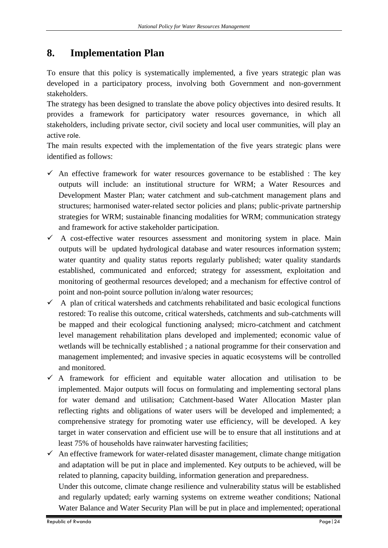# <span id="page-30-0"></span>**8. Implementation Plan**

To ensure that this policy is systematically implemented, a five years strategic plan was developed in a participatory process, involving both Government and non-government stakeholders.

The strategy has been designed to translate the above policy objectives into desired results. It provides a framework for participatory water resources governance, in which all stakeholders, including private sector, civil society and local user communities, will play an active role.

The main results expected with the implementation of the five years strategic plans were identified as follows:

- $\checkmark$  An effective framework for water resources governance to be established : The key outputs will include: an institutional structure for WRM; a Water Resources and Development Master Plan; water catchment and sub-catchment management plans and structures; harmonised water-related sector policies and plans; public-private partnership strategies for WRM; sustainable financing modalities for WRM; communication strategy and framework for active stakeholder participation.
- $\checkmark$  A cost-effective water resources assessment and monitoring system in place. Main outputs will be updated hydrological database and water resources information system; water quantity and quality status reports regularly published; water quality standards established, communicated and enforced; strategy for assessment, exploitation and monitoring of geothermal resources developed; and a mechanism for effective control of point and non-point source pollution in/along water resources;
- $\checkmark$  A plan of critical watersheds and catchments rehabilitated and basic ecological functions restored: To realise this outcome, critical watersheds, catchments and sub-catchments will be mapped and their ecological functioning analysed; micro-catchment and catchment level management rehabilitation plans developed and implemented; economic value of wetlands will be technically established ; a national programme for their conservation and management implemented; and invasive species in aquatic ecosystems will be controlled and monitored.
- $\checkmark$  A framework for efficient and equitable water allocation and utilisation to be implemented. Major outputs will focus on formulating and implementing sectoral plans for water demand and utilisation; Catchment-based Water Allocation Master plan reflecting rights and obligations of water users will be developed and implemented; a comprehensive strategy for promoting water use efficiency, will be developed. A key target in water conservation and efficient use will be to ensure that all institutions and at least 75% of households have rainwater harvesting facilities;

 $\checkmark$  An effective framework for water-related disaster management, climate change mitigation and adaptation will be put in place and implemented. Key outputs to be achieved, will be related to planning, capacity building, information generation and preparedness.

Under this outcome, climate change resilience and vulnerability status will be established and regularly updated; early warning systems on extreme weather conditions; National Water Balance and Water Security Plan will be put in place and implemented; operational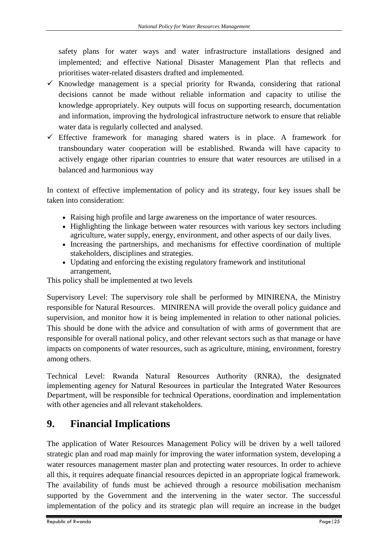safety plans for water ways and water infrastructure installations designed and implemented; and effective National Disaster Management Plan that reflects and prioritises water-related disasters drafted and implemented.

- $\checkmark$  Knowledge management is a special priority for Rwanda, considering that rational decisions cannot be made without reliable information and capacity to utilise the knowledge appropriately. Key outputs will focus on supporting research, documentation and information, improving the hydrological infrastructure network to ensure that reliable water data is regularly collected and analysed.
- $\checkmark$  Effective framework for managing shared waters is in place. A framework for transboundary water cooperation will be established. Rwanda will have capacity to actively engage other riparian countries to ensure that water resources are utilised in a balanced and harmonious way

In context of effective implementation of policy and its strategy, four key issues shall be taken into consideration:

- Raising high profile and large awareness on the importance of water resources.
- Highlighting the linkage between water resources with various key sectors including agriculture, water supply, energy, environment, and other aspects of our daily lives.
- Increasing the partnerships, and mechanisms for effective coordination of multiple stakeholders, disciplines and strategies.
- Updating and enforcing the existing regulatory framework and institutional arrangement,

This policy shall be implemented at two levels

Supervisory Level: The supervisory role shall be performed by MINIRENA, the Ministry responsible for Natural Resources. MINIRENA will provide the overall policy guidance and supervision, and monitor how it is being implemented in relation to other national policies. This should be done with the advice and consultation of with arms of government that are responsible for overall national policy, and other relevant sectors such as that manage or have impacts on components of water resources, such as agriculture, mining, environment, forestry among others.

Technical Level: Rwanda Natural Resources Authority (RNRA), the designated implementing agency for Natural Resources in particular the Integrated Water Resources Department, will be responsible for technical Operations, coordination and implementation with other agencies and all relevant stakeholders.

# <span id="page-31-0"></span>**9. Financial Implications**

The application of Water Resources Management Policy will be driven by a well tailored strategic plan and road map mainly for improving the water information system, developing a water resources management master plan and protecting water resources. In order to achieve all this, it requires adequate financial resources depicted in an appropriate logical framework. The availability of funds must be achieved through a resource mobilisation mechanism supported by the Government and the intervening in the water sector. The successful implementation of the policy and its strategic plan will require an increase in the budget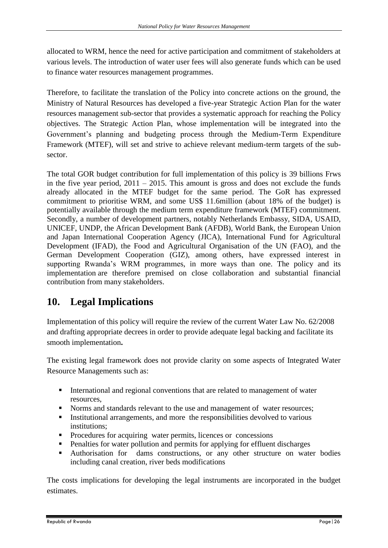allocated to WRM, hence the need for active participation and commitment of stakeholders at various levels. The introduction of water user fees will also generate funds which can be used to finance water resources management programmes.

Therefore, to facilitate the translation of the Policy into concrete actions on the ground, the Ministry of Natural Resources has developed a five-year Strategic Action Plan for the water resources management sub-sector that provides a systematic approach for reaching the Policy objectives. The Strategic Action Plan, whose implementation will be integrated into the Government's planning and budgeting process through the Medium-Term Expenditure Framework (MTEF), will set and strive to achieve relevant medium-term targets of the subsector.

The total GOR budget contribution for full implementation of this policy is 39 billions Frws in the five year period,  $2011 - 2015$ . This amount is gross and does not exclude the funds already allocated in the MTEF budget for the same period. The GoR has expressed commitment to prioritise WRM, and some US\$ 11.6million (about 18% of the budget) is potentially available through the medium term expenditure framework (MTEF) commitment. Secondly, a number of development partners, notably Netherlands Embassy, SIDA, USAID, UNICEF, UNDP, the African Development Bank (AFDB), World Bank, the European Union and Japan International Cooperation Agency (JICA), International Fund for Agricultural Development (IFAD), the Food and Agricultural Organisation of the UN (FAO), and the German Development Cooperation (GIZ), among others, have expressed interest in supporting Rwanda's WRM programmes, in more ways than one. The policy and its implementation are therefore premised on close collaboration and substantial financial contribution from many stakeholders.

# <span id="page-32-0"></span>**10. Legal Implications**

Implementation of this policy will require the review of the current Water Law No. 62/2008 and drafting appropriate decrees in order to provide adequate legal backing and facilitate its smooth implementation**.** 

The existing legal framework does not provide clarity on some aspects of Integrated Water Resource Managements such as:

- International and regional conventions that are related to management of water resources,
- Norms and standards relevant to the use and management of water resources;
- Institutional arrangements, and more the responsibilities devolved to various institutions;
- **Procedures for acquiring water permits, licences or concessions**
- **Penalties for water pollution and permits for applying for effluent discharges**
- Authorisation for dams constructions, or any other structure on water bodies including canal creation, river beds modifications

The costs implications for developing the legal instruments are incorporated in the budget estimates.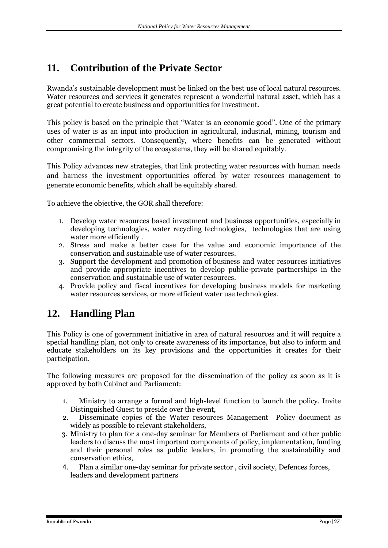# <span id="page-33-0"></span>**11. Contribution of the Private Sector**

Rwanda's sustainable development must be linked on the best use of local natural resources. Water resources and services it generates represent a wonderful natural asset, which has a great potential to create business and opportunities for investment.

This policy is based on the principle that ''Water is an economic good''. One of the primary uses of water is as an input into production in agricultural, industrial, mining, tourism and other commercial sectors. Consequently, where benefits can be generated without compromising the integrity of the ecosystems, they will be shared equitably.

This Policy advances new strategies, that link protecting water resources with human needs and harness the investment opportunities offered by water resources management to generate economic benefits, which shall be equitably shared*.*

To achieve the objective, the GOR shall therefore:

- 1. Develop water resources based investment and business opportunities, especially in developing technologies, water recycling technologies, technologies that are using water more efficiently .
- 2. Stress and make a better case for the value and economic importance of the conservation and sustainable use of water resources.
- 3. Support the development and promotion of business and water resources initiatives and provide appropriate incentives to develop public-private partnerships in the conservation and sustainable use of water resources.
- 4. Provide policy and fiscal incentives for developing business models for marketing water resources services, or more efficient water use technologies.

# <span id="page-33-1"></span>**12. Handling Plan**

This Policy is one of government initiative in area of natural resources and it will require a special handling plan, not only to create awareness of its importance, but also to inform and educate stakeholders on its key provisions and the opportunities it creates for their participation.

The following measures are proposed for the dissemination of the policy as soon as it is approved by both Cabinet and Parliament:

- 1. Ministry to arrange a formal and high-level function to launch the policy. Invite Distinguished Guest to preside over the event,
- 2. Disseminate copies of the Water resources Management Policy document as widely as possible to relevant stakeholders,
- 3. Ministry to plan for a one-day seminar for Members of Parliament and other public leaders to discuss the most important components of policy, implementation, funding and their personal roles as public leaders, in promoting the sustainability and conservation ethics,
- 4. Plan a similar one-day seminar for private sector , civil society, Defences forces, leaders and development partners